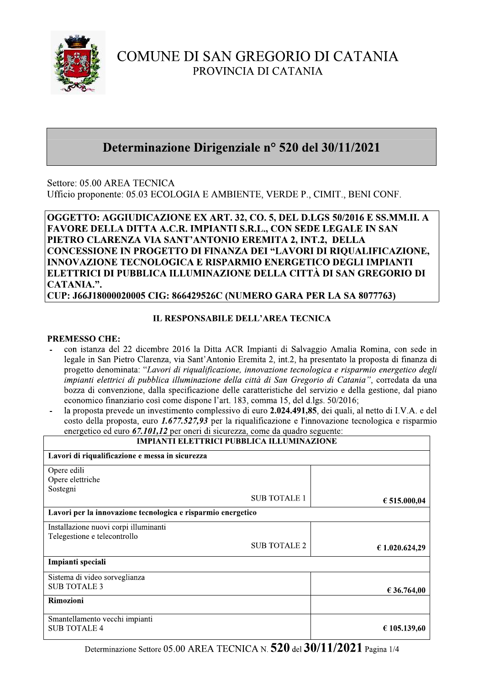

# COMUNE DI SAN GREGORIO DI CATANIA PROVINCIA DI CATANIA

# Determinazione Dirigenziale nº 520 del 30/11/2021

Settore: 05.00 AREA TECNICA Ufficio proponente: 05.03 ECOLOGIA E AMBIENTE, VERDE P., CIMIT., BENI CONF.

OGGETTO: AGGIUDICAZIONE EX ART. 32, CO. 5, DEL D.LGS 50/2016 E SS.MM.II. A FAVORE DELLA DITTA A.C.R. IMPIANTI S.R.L., CON SEDE LEGALE IN SAN PIETRO CLARENZA VIA SANT'ANTONIO EREMITA 2, INT.2, DELLA CONCESSIONE IN PROGETTO DI FINANZA DEI "LAVORI DI RIQUALIFICAZIONE, **INNOVAZIONE TECNOLOGICA E RISPARMIO ENERGETICO DEGLI IMPIANTI** ELETTRICI DI PUBBLICA ILLUMINAZIONE DELLA CITTÀ DI SAN GREGORIO DI CATANIA.".

CUP: J66J18000020005 CIG: 866429526C (NUMERO GARA PER LA SA 8077763)

# **IL RESPONSABILE DELL'AREA TECNICA**

### **PREMESSO CHE:**

- con istanza del 22 dicembre 2016 la Ditta ACR Impianti di Salvaggio Amalia Romina, con sede in legale in San Pietro Clarenza, via Sant'Antonio Eremita 2, int.2, ha presentato la proposta di finanza di progetto denominata: "Lavori di riqualificazione, innovazione tecnologica e risparmio energetico degli impianti elettrici di pubblica illuminazione della città di San Gregorio di Catania", corredata da una bozza di convenzione, dalla specificazione delle caratteristiche del servizio e della gestione, dal piano economico finanziario così come dispone l'art. 183, comma 15, del d.lgs. 50/2016;
- la proposta prevede un investimento complessivo di euro 2.024.491,85, dei quali, al netto di I.V.A. e del costo della proposta, euro 1.677.527,93 per la riqualificazione e l'innovazione tecnologica e risparmio energetico ed euro 67.101,12 per oneri di sicurezza, come da quadro seguente:

| <b>IMPIANTI ELETTRICI PUBBLICA ILLUMINAZIONE</b>             |                |
|--------------------------------------------------------------|----------------|
| Lavori di riqualificazione e messa in sicurezza              |                |
| Opere edili                                                  |                |
| Opere elettriche                                             |                |
| Sostegni                                                     |                |
| <b>SUB TOTALE 1</b>                                          | € 515.000,04   |
| Lavori per la innovazione tecnologica e risparmio energetico |                |
| Installazione nuovi corpi illuminanti                        |                |
| Telegestione e telecontrollo                                 |                |
| <b>SUB TOTALE 2</b>                                          | € 1.020.624,29 |
| Impianti speciali                                            |                |
| Sistema di video sorveglianza                                |                |
| <b>SUB TOTALE 3</b>                                          | € 36.764,00    |
| Rimozioni                                                    |                |
| Smantellamento vecchi impianti                               |                |
| <b>SUB TOTALE 4</b>                                          | € 105.139,60   |

Determinazione Settore 05.00 AREA TECNICA N. 520 del 30/11/2021 Pagina 1/4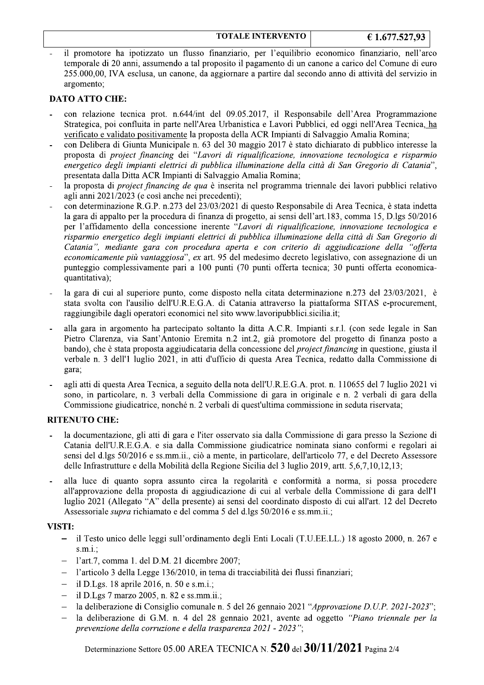#### **TOTALE INTERVENTO**

il promotore ha ipotizzato un flusso finanziario, per l'equilibrio economico finanziario, nell'arco temporale di 20 anni, assumendo a tal proposito il pagamento di un canone a carico del Comune di euro 255.000,00, IVA esclusa, un canone, da aggiornare a partire dal secondo anno di attività del servizio in argomento;

### **DATO ATTO CHE:**

- con relazione tecnica prot. n.644/int del 09.05.2017, il Responsabile dell'Area Programmazione Strategica, poi confluita in parte nell'Area Urbanistica e Lavori Pubblici, ed oggi nell'Area Tecnica, ha verificato e validato positivamente la proposta della ACR Impianti di Salvaggio Amalia Romina;
- con Delibera di Giunta Municipale n. 63 del 30 maggio 2017 è stato dichiarato di pubblico interesse la proposta di project financing dei "Lavori di riqualificazione, innovazione tecnologica e risparmio energetico degli impianti elettrici di pubblica illuminazione della città di San Gregorio di Catania", presentata dalla Ditta ACR Impianti di Salvaggio Amalia Romina;
- la proposta di *project financing de qua* è inserita nel programma triennale dei lavori pubblici relativo agli anni 2021/2023 (e così anche nei precedenti);
- con determinazione R.G.P. n.273 del 23/03/2021 di questo Responsabile di Area Tecnica, è stata indetta la gara di appalto per la procedura di finanza di progetto, ai sensi dell'art.183, comma 15, D.lgs 50/2016 per l'affidamento della concessione inerente "Lavori di riqualificazione, innovazione tecnologica e risparmio energetico degli impianti elettrici di pubblica illuminazione della città di San Gregorio di Catania", mediante gara con procedura aperta e con criterio di aggiudicazione della "offerta economicamente più vantaggiosa", ex art. 95 del medesimo decreto legislativo, con assegnazione di un punteggio complessivamente pari a 100 punti (70 punti offerta tecnica: 30 punti offerta economicaquantitativa);
- la gara di cui al superiore punto, come disposto nella citata determinazione n.273 del 23/03/2021, è stata svolta con l'ausilio dell'U.R.E.G.A. di Catania attraverso la piattaforma SITAS e-procurement, raggiungibile dagli operatori economici nel sito www.lavoripubblici.sicilia.it;
- alla gara in argomento ha partecipato soltanto la ditta A.C.R. Impianti s.r.l. (con sede legale in San Pietro Clarenza, via Sant'Antonio Eremita n.2 int.2, già promotore del progetto di finanza posto a bando), che è stata proposta aggiudicataria della concessione del *project financing* in questione, giusta il verbale n. 3 dell'1 luglio 2021, in atti d'ufficio di questa Area Tecnica, redatto dalla Commissione di gara;
- agli atti di questa Area Tecnica, a seguito della nota dell'U.R.E.G.A. prot. n. 110655 del 7 luglio 2021 vi sono, in particolare, n. 3 verbali della Commissione di gara in originale e n. 2 verbali di gara della Commissione giudicatrice, nonché n. 2 verbali di quest'ultima commissione in seduta riservata;

### **RITENUTO CHE:**

- la documentazione, gli atti di gara e l'iter osservato sia dalla Commissione di gara presso la Sezione di Catania dell'U.R.E.G.A. e sia dalla Commissione giudicatrice nominata siano conformi e regolari ai sensi del d.lgs 50/2016 e ss.mm.ii., ciò a mente, in particolare, dell'articolo 77, e del Decreto Assessore delle Infrastrutture e della Mobilità della Regione Sicilia del 3 luglio 2019, artt. 5,6,7,10,12,13;
- alla luce di quanto sopra assunto circa la regolarità e conformità a norma, si possa procedere all'approvazione della proposta di aggiudicazione di cui al verbale della Commissione di gara dell'1 luglio 2021 (Allegato "A" della presente) ai sensi del coordinato disposto di cui all'art. 12 del Decreto Assessoriale *supra* richiamato e del comma 5 del d.lgs 50/2016 e ss.mm.ii.;

#### **VISTI:**

- il Testo unico delle leggi sull'ordinamento degli Enti Locali (T.U.E.E.L.) 18 agosto 2000, n. 267 e  $s.m.i.$
- l'art.7, comma 1. del D.M. 21 dicembre 2007;
- l'articolo 3 della Legge 136/2010, in tema di tracciabilità dei flussi finanziari;  $\equiv$
- il D.Lgs. 18 aprile 2016, n. 50 e s.m.i.:
- il D.Lgs 7 marzo 2005, n. 82 e ss.mm.ii.;
- la deliberazione di Consiglio comunale n. 5 del 26 gennaio 2021 "Approvazione D.U.P. 2021-2023";
- la deliberazione di G.M. n. 4 del 28 gennaio 2021, avente ad oggetto "Piano triennale per la prevenzione della corruzione e della trasparenza 2021 - 2023";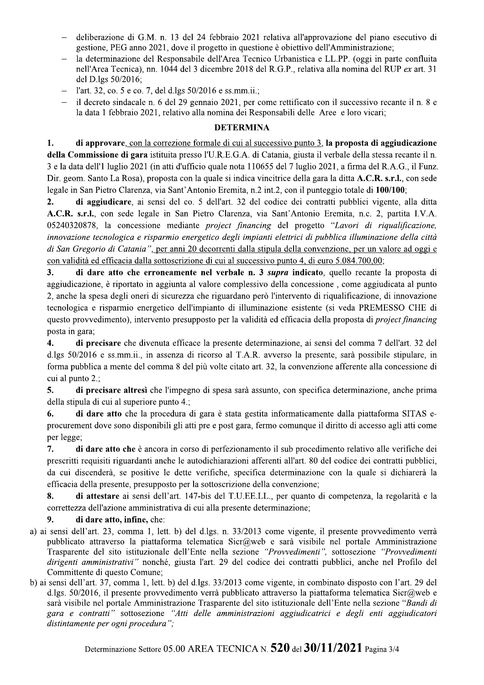- deliberazione di G.M. n. 13 del 24 febbraio 2021 relativa all'approvazione del piano esecutivo di gestione, PEG anno 2021, dove il progetto in questione è obiettivo dell'Amministrazione;
- la determinazione del Responsabile dell'Area Tecnico Urbanistica e LL.PP. (oggi in parte confluita nell'Area Tecnica), nn. 1044 del 3 dicembre 2018 del R.G.P., relativa alla nomina del RUP ex art. 31 del D.lgs 50/2016;
- l'art. 32, co. 5 e co. 7, del d.lgs 50/2016 e ss.mm.ii.;
- il decreto sindacale n. 6 del 29 gennaio 2021, per come rettificato con il successivo recante il n. 8 e la data 1 febbraio 2021, relativo alla nomina dei Responsabili delle Aree e loro vicari;

## **DETERMINA**

di approvare, con la correzione formale di cui al successivo punto 3, la proposta di aggiudicazione  $1.$ della Commissione di gara istituita presso l'U.R.E.G.A. di Catania, giusta il verbale della stessa recante il n. 3 e la data dell'1 luglio 2021 (in atti d'ufficio quale nota 110655 del 7 luglio 2021, a firma del R.A.G., il Funz. Dir. geom. Santo La Rosa), proposta con la quale si indica vincitrice della gara la ditta A.C.R. s.r.l., con sede legale in San Pietro Clarenza, via Sant'Antonio Eremita, n.2 int.2, con il punteggio totale di 100/100;

 $2.$ di aggiudicare, ai sensi del co. 5 dell'art. 32 del codice dei contratti pubblici vigente, alla ditta A.C.R. s.r.l., con sede legale in San Pietro Clarenza, via Sant'Antonio Eremita, n.c. 2, partita I.V.A. 05240320878, la concessione mediante *project financing* del progetto "Lavori di riqualificazione, innovazione tecnologica e risparmio energetico degli impianti elettrici di pubblica illuminazione della città di San Gregorio di Catania", per anni 20 decorrenti dalla stipula della convenzione, per un valore ad oggi e con validità ed efficacia dalla sottoscrizione di cui al successivo punto 4, di euro 5.084.700,00;

 $3<sub>1</sub>$ di dare atto che erroneamente nel verbale n. 3 *supra* indicato, quello recante la proposta di aggiudicazione, è riportato in aggiunta al valore complessivo della concessione, come aggiudicata al punto 2, anche la spesa degli oneri di sicurezza che riguardano però l'intervento di rigualificazione, di innovazione tecnologica e risparmio energetico dell'impianto di illuminazione esistente (si veda PREMESSO CHE di questo provvedimento), intervento presupposto per la validità ed efficacia della proposta di *project financing* posta in gara;

 $\boldsymbol{4}$ . di precisare che divenuta efficace la presente determinazione, ai sensi del comma 7 dell'art. 32 del d.lgs 50/2016 e ss.mm.ii., in assenza di ricorso al T.A.R. avverso la presente, sarà possibile stipulare, in forma pubblica a mente del comma 8 del più volte citato art. 32, la convenzione afferente alla concessione di cui al punto 2:

di precisare altresì che l'impegno di spesa sarà assunto, con specifica determinazione, anche prima 5. della stipula di cui al superiore punto 4.;

di dare atto che la procedura di gara è stata gestita informaticamente dalla piattaforma SITAS e-6. procurement dove sono disponibili gli atti pre e post gara, fermo comunque il diritto di accesso agli atti come per legge;

 $7.$ di dare atto che è ancora in corso di perfezionamento il sub procedimento relativo alle verifiche dei prescritti requisiti riguardanti anche le autodichiarazioni afferenti all'art. 80 del codice dei contratti pubblici, da cui discenderà, se positive le dette verifiche, specifica determinazione con la quale si dichiarerà la efficacia della presente, presupposto per la sottoscrizione della convenzione;

8. di attestare ai sensi dell'art. 147-bis del T.U.E.E.L.L., per quanto di competenza, la regolarità e la correttezza dell'azione amministrativa di cui alla presente determinazione;

#### 9. di dare atto, infine, che:

- a) ai sensi dell'art. 23, comma 1, lett. b) del d.lgs. n. 33/2013 come vigente, il presente provvedimento verrà pubblicato attraverso la piattaforma telematica Sicr@web e sarà visibile nel portale Amministrazione Trasparente del sito istituzionale dell'Ente nella sezione "Provvedimenti", sottosezione "Provvedimenti dirigenti amministrativi" nonché, giusta l'art. 29 del codice dei contratti pubblici, anche nel Profilo del Committente di questo Comune;
- b) ai sensi dell'art. 37, comma 1, lett. b) del d.lgs. 33/2013 come vigente, in combinato disposto con l'art. 29 del d.lgs. 50/2016, il presente provvedimento verrà pubblicato attraverso la piattaforma telematica Sicr@web e sarà visibile nel portale Amministrazione Trasparente del sito istituzionale dell'Ente nella sezione "Bandi di gara e contratti" sottosezione "Atti delle amministrazioni aggiudicatrici e degli enti aggiudicatori distintamente per ogni procedura";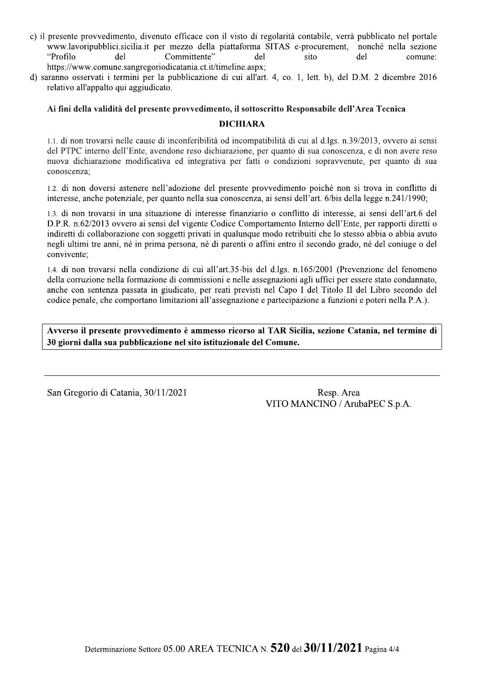- c) il presente provvedimento, divenuto efficace con il visto di regolarità contabile, verrà pubblicato nel portale www.lavoripubblici.sicilia.it per mezzo della piattaforma SITAS e-procurement, nonché nella sezione "Profilo del Committente" del sito del comune: https://www.comune.sangregoriodicatania.ct.it/timeline.aspx;
- d) saranno osservati i termini per la pubblicazione di cui all'art. 4, co. 1, lett. b), del D.M. 2 dicembre 2016 relativo all'appalto qui aggiudicato.

#### Ai fini della validità del presente provvedimento, il sottoscritto Responsabile dell'Area Tecnica

### **DICHIARA**

1.1, di non trovarsi nelle cause di inconferibilità od incompatibilità di cui al d.lgs. n.39/2013, ovvero ai sensi del PTPC interno dell'Ente, avendone reso dichiarazione, per quanto di sua conoscenza, e di non avere reso nuova dichiarazione modificativa ed integrativa per fatti o condizioni sopravvenute, per quanto di sua conoscenza;

1.2. di non doversi astenere nell'adozione del presente provvedimento poiché non si trova in conflitto di interesse, anche potenziale, per quanto nella sua conoscenza, ai sensi dell'art. 6/bis della legge n.241/1990;

1.3. di non trovarsi in una situazione di interesse finanziario o conflitto di interesse, ai sensi dell'art.6 del D.P.R. n.62/2013 ovvero ai sensi del vigente Codice Comportamento Interno dell'Ente, per rapporti diretti o indiretti di collaborazione con soggetti privati in qualunque modo retribuiti che lo stesso abbia o abbia avuto negli ultimi tre anni, né in prima persona, né di parenti o affini entro il secondo grado, né del coniuge o del convivente:

1.4, di non trovarsi nella condizione di cui all'art.35-bis del d.lgs. n.165/2001 (Prevenzione del fenomeno della corruzione nella formazione di commissioni e nelle assegnazioni agli uffici per essere stato condannato, anche con sentenza passata in giudicato, per reati previsti nel Capo I del Titolo II del Libro secondo del codice penale, che comportano limitazioni all'assegnazione e partecipazione a funzioni e poteri nella P.A.).

Avverso il presente provvedimento è ammesso ricorso al TAR Sicilia, sezione Catania, nel termine di 30 giorni dalla sua pubblicazione nel sito istituzionale del Comune.

San Gregorio di Catania, 30/11/2021

Resp. Area VITO MANCINO / ArubaPEC S.p.A.